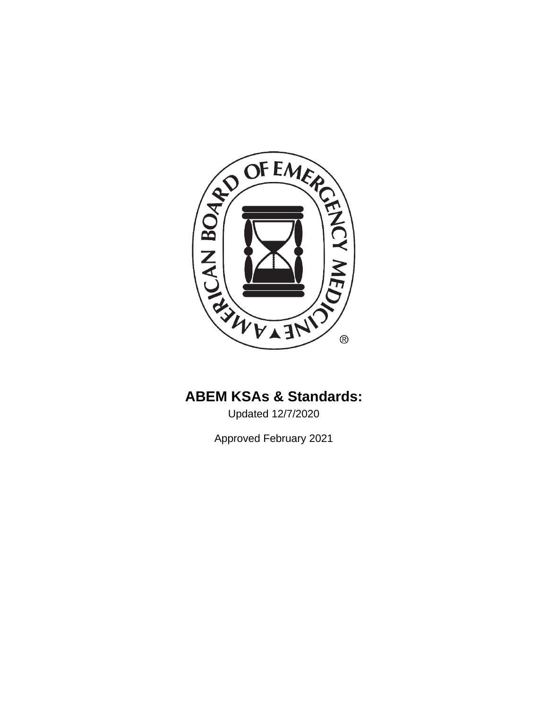

# **ABEM KSAs & Standards:**

Updated 12/7/2020

Approved February 2021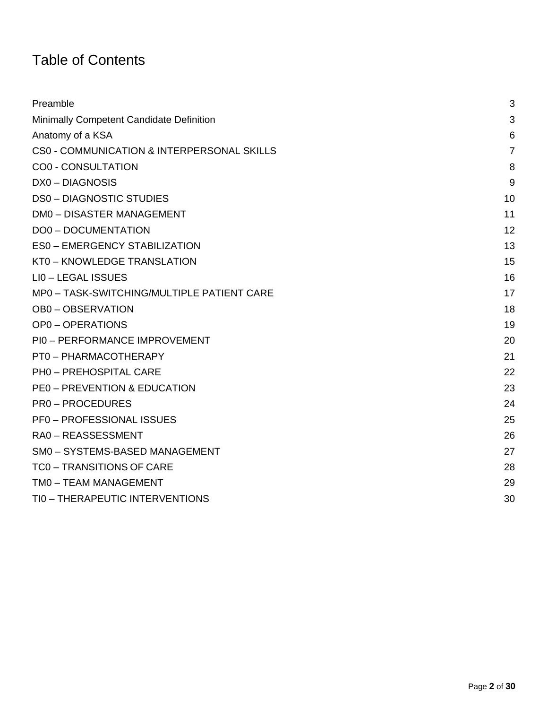# Table of Contents

| Preamble                                   | 3              |
|--------------------------------------------|----------------|
| Minimally Competent Candidate Definition   | 3              |
| Anatomy of a KSA                           | 6              |
| CS0 - COMMUNICATION & INTERPERSONAL SKILLS | $\overline{7}$ |
| <b>CO0 - CONSULTATION</b>                  | 8              |
| DX0-DIAGNOSIS                              | 9              |
| <b>DS0-DIAGNOSTIC STUDIES</b>              | 10             |
| <b>DM0 - DISASTER MANAGEMENT</b>           | 11             |
| <b>DO0 - DOCUMENTATION</b>                 | 12             |
| <b>ES0 - EMERGENCY STABILIZATION</b>       | 13             |
| KT0 - KNOWLEDGE TRANSLATION                | 15             |
| LIO - LEGAL ISSUES                         | 16             |
| MP0 - TASK-SWITCHING/MULTIPLE PATIENT CARE | 17             |
| <b>OB0-OBSERVATION</b>                     | 18             |
| <b>OP0-OPERATIONS</b>                      | 19             |
| PI0 - PERFORMANCE IMPROVEMENT              | 20             |
| PT0 - PHARMACOTHERAPY                      | 21             |
| PH0 - PREHOSPITAL CARE                     | 22             |
| <b>PE0 - PREVENTION &amp; EDUCATION</b>    | 23             |
| <b>PRO-PROCEDURES</b>                      | 24             |
| <b>PF0-PROFESSIONAL ISSUES</b>             | 25             |
| RA0-REASSESSMENT                           | 26             |
| SM0 - SYSTEMS-BASED MANAGEMENT             | 27             |
| <b>TC0 - TRANSITIONS OF CARE</b>           | 28             |
| TM0 - TEAM MANAGEMENT                      | 29             |
| TIO - THERAPEUTIC INTERVENTIONS            | 30             |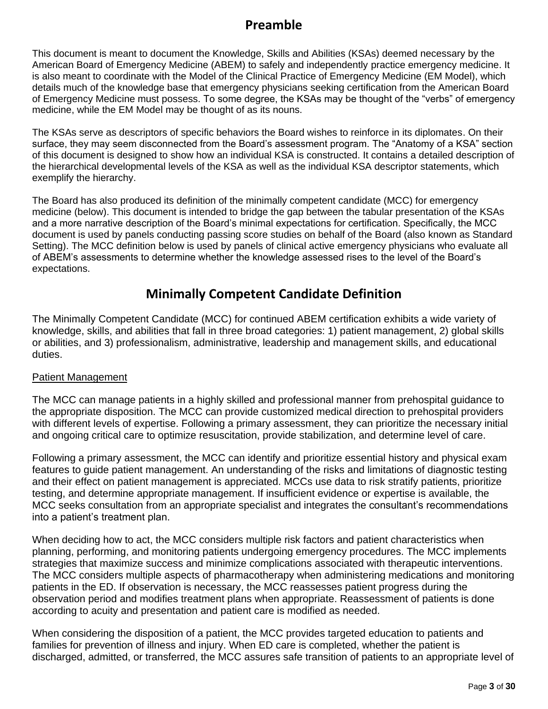#### **Preamble**

<span id="page-2-0"></span>This document is meant to document the Knowledge, Skills and Abilities (KSAs) deemed necessary by the American Board of Emergency Medicine (ABEM) to safely and independently practice emergency medicine. It is also meant to coordinate with the Model of the Clinical Practice of Emergency Medicine (EM Model), which details much of the knowledge base that emergency physicians seeking certification from the American Board of Emergency Medicine must possess. To some degree, the KSAs may be thought of the "verbs" of emergency medicine, while the EM Model may be thought of as its nouns.

The KSAs serve as descriptors of specific behaviors the Board wishes to reinforce in its diplomates. On their surface, they may seem disconnected from the Board's assessment program. The "Anatomy of a KSA" section of this document is designed to show how an individual KSA is constructed. It contains a detailed description of the hierarchical developmental levels of the KSA as well as the individual KSA descriptor statements, which exemplify the hierarchy.

The Board has also produced its definition of the minimally competent candidate (MCC) for emergency medicine (below). This document is intended to bridge the gap between the tabular presentation of the KSAs and a more narrative description of the Board's minimal expectations for certification. Specifically, the MCC document is used by panels conducting passing score studies on behalf of the Board (also known as Standard Setting). The MCC definition below is used by panels of clinical active emergency physicians who evaluate all of ABEM's assessments to determine whether the knowledge assessed rises to the level of the Board's expectations.

#### **Minimally Competent Candidate Definition**

The Minimally Competent Candidate (MCC) for continued ABEM certification exhibits a wide variety of knowledge, skills, and abilities that fall in three broad categories: 1) patient management, 2) global skills or abilities, and 3) professionalism, administrative, leadership and management skills, and educational duties.

#### Patient Management

The MCC can manage patients in a highly skilled and professional manner from prehospital guidance to the appropriate disposition. The MCC can provide customized medical direction to prehospital providers with different levels of expertise. Following a primary assessment, they can prioritize the necessary initial and ongoing critical care to optimize resuscitation, provide stabilization, and determine level of care.

Following a primary assessment, the MCC can identify and prioritize essential history and physical exam features to guide patient management. An understanding of the risks and limitations of diagnostic testing and their effect on patient management is appreciated. MCCs use data to risk stratify patients, prioritize testing, and determine appropriate management. If insufficient evidence or expertise is available, the MCC seeks consultation from an appropriate specialist and integrates the consultant's recommendations into a patient's treatment plan.

When deciding how to act, the MCC considers multiple risk factors and patient characteristics when planning, performing, and monitoring patients undergoing emergency procedures. The MCC implements strategies that maximize success and minimize complications associated with therapeutic interventions. The MCC considers multiple aspects of pharmacotherapy when administering medications and monitoring patients in the ED. If observation is necessary, the MCC reassesses patient progress during the observation period and modifies treatment plans when appropriate. Reassessment of patients is done according to acuity and presentation and patient care is modified as needed.

When considering the disposition of a patient, the MCC provides targeted education to patients and families for prevention of illness and injury. When ED care is completed, whether the patient is discharged, admitted, or transferred, the MCC assures safe transition of patients to an appropriate level of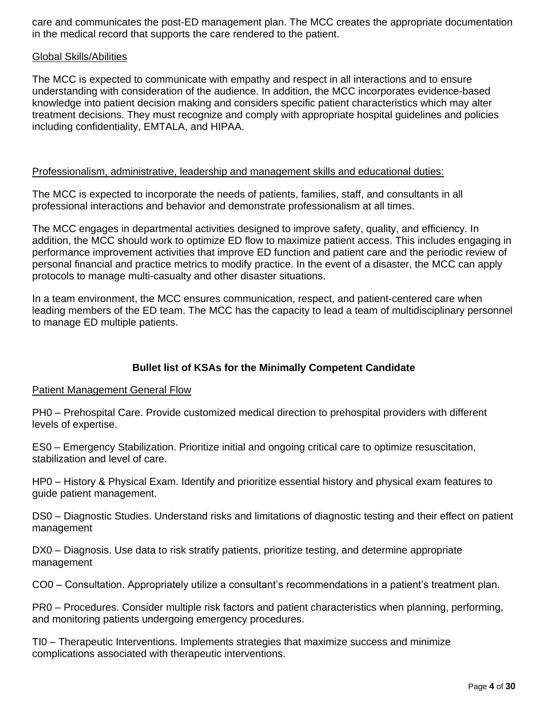care and communicates the post-ED management plan. The MCC creates the appropriate documentation in the medical record that supports the care rendered to the patient.

#### Global Skills/Abilities

The MCC is expected to communicate with empathy and respect in all interactions and to ensure understanding with consideration of the audience. In addition, the MCC incorporates evidence-based knowledge into patient decision making and considers specific patient characteristics which may alter treatment decisions. They must recognize and comply with appropriate hospital guidelines and policies including confidentiality, EMTALA, and HIPAA.

#### Professionalism, administrative, leadership and management skills and educational duties:

The MCC is expected to incorporate the needs of patients, families, staff, and consultants in all professional interactions and behavior and demonstrate professionalism at all times.

The MCC engages in departmental activities designed to improve safety, quality, and efficiency. In addition, the MCC should work to optimize ED flow to maximize patient access. This includes engaging in performance improvement activities that improve ED function and patient care and the periodic review of personal financial and practice metrics to modify practice. In the event of a disaster, the MCC can apply protocols to manage multi-casualty and other disaster situations.

In a team environment, the MCC ensures communication, respect, and patient-centered care when leading members of the ED team. The MCC has the capacity to lead a team of multidisciplinary personnel to manage ED multiple patients.

#### **Bullet list of KSAs for the Minimally Competent Candidate**

#### Patient Management General Flow

PH0 – Prehospital Care. Provide customized medical direction to prehospital providers with different levels of expertise.

ES0 – Emergency Stabilization. Prioritize initial and ongoing critical care to optimize resuscitation, stabilization and level of care.

HP0 – History & Physical Exam. Identify and prioritize essential history and physical exam features to guide patient management.

DS0 – Diagnostic Studies. Understand risks and limitations of diagnostic testing and their effect on patient management

DX0 – Diagnosis. Use data to risk stratify patients, prioritize testing, and determine appropriate management

CO0 – Consultation. Appropriately utilize a consultant's recommendations in a patient's treatment plan.

PR0 – Procedures. Consider multiple risk factors and patient characteristics when planning, performing, and monitoring patients undergoing emergency procedures.

TI0 – Therapeutic Interventions. Implements strategies that maximize success and minimize complications associated with therapeutic interventions.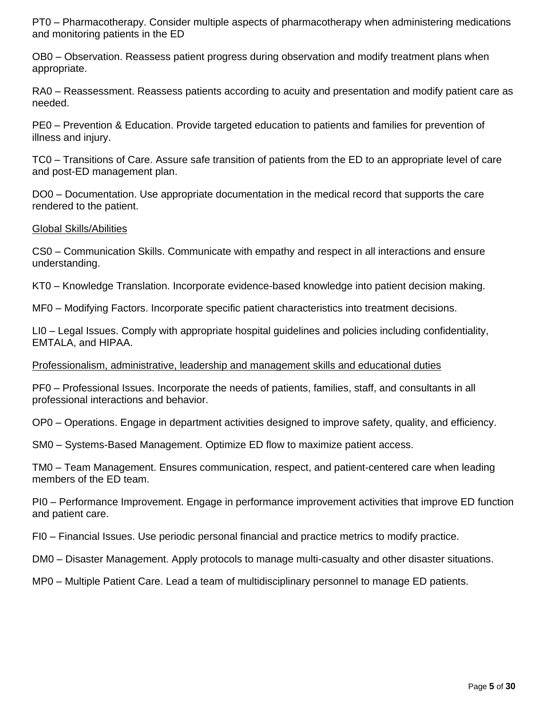PT0 – Pharmacotherapy. Consider multiple aspects of pharmacotherapy when administering medications and monitoring patients in the ED

OB0 – Observation. Reassess patient progress during observation and modify treatment plans when appropriate.

RA0 – Reassessment. Reassess patients according to acuity and presentation and modify patient care as needed.

PE0 – Prevention & Education. Provide targeted education to patients and families for prevention of illness and injury.

TC0 – Transitions of Care. Assure safe transition of patients from the ED to an appropriate level of care and post-ED management plan.

DO0 – Documentation. Use appropriate documentation in the medical record that supports the care rendered to the patient.

#### Global Skills/Abilities

CS0 – Communication Skills. Communicate with empathy and respect in all interactions and ensure understanding.

KT0 – Knowledge Translation. Incorporate evidence-based knowledge into patient decision making.

MF0 – Modifying Factors. Incorporate specific patient characteristics into treatment decisions.

LI0 – Legal Issues. Comply with appropriate hospital guidelines and policies including confidentiality, EMTALA, and HIPAA.

#### Professionalism, administrative, leadership and management skills and educational duties

PF0 – Professional Issues. Incorporate the needs of patients, families, staff, and consultants in all professional interactions and behavior.

OP0 – Operations. Engage in department activities designed to improve safety, quality, and efficiency.

SM0 – Systems-Based Management. Optimize ED flow to maximize patient access.

TM0 – Team Management. Ensures communication, respect, and patient-centered care when leading members of the ED team.

PI0 – Performance Improvement. Engage in performance improvement activities that improve ED function and patient care.

FI0 – Financial Issues. Use periodic personal financial and practice metrics to modify practice.

DM0 – Disaster Management. Apply protocols to manage multi-casualty and other disaster situations.

MP0 – Multiple Patient Care. Lead a team of multidisciplinary personnel to manage ED patients.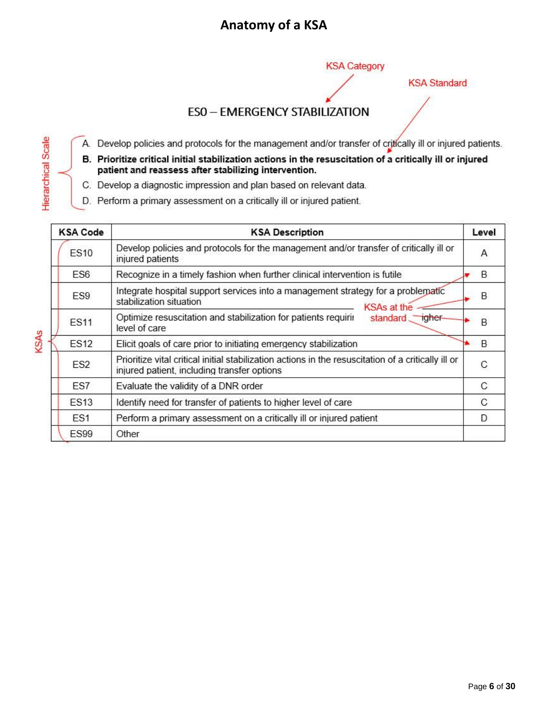### **Anatomy of a KSA**

**KSA Category** 

**KSA Standard** 

#### **ESO - EMERGENCY STABILIZATION**

A. Develop policies and protocols for the management and/or transfer of critically ill or injured patients.

- B. Prioritize critical initial stabilization actions in the resuscitation of a critically ill or injured patient and reassess after stabilizing intervention.
- C. Develop a diagnostic impression and plan based on relevant data.
- D. Perform a primary assessment on a critically ill or injured patient.

<span id="page-5-0"></span>Hierarchical Scale

KSAs

| <b>KSA Code</b> | <b>KSA Description</b>                                                                                                                             | Level |
|-----------------|----------------------------------------------------------------------------------------------------------------------------------------------------|-------|
| <b>ES10</b>     | Develop policies and protocols for the management and/or transfer of critically ill or<br>injured patients                                         | Α     |
| ES6             | Recognize in a timely fashion when further clinical intervention is futile                                                                         | B     |
| ES <sub>9</sub> | Integrate hospital support services into a management strategy for a problematic<br>stabilization situation<br><b>KSAs at the</b>                  | B     |
| <b>ES11</b>     | Optimize resuscitation and stabilization for patients requiring<br>standard igher-<br>level of care                                                | B     |
| <b>ES12</b>     | Elicit goals of care prior to initiating emergency stabilization                                                                                   | B     |
| ES <sub>2</sub> | Prioritize vital critical initial stabilization actions in the resuscitation of a critically ill or<br>injured patient, including transfer options | C     |
| ES7             | Evaluate the validity of a DNR order                                                                                                               | C     |
| <b>ES13</b>     | Identify need for transfer of patients to higher level of care                                                                                     | C     |
| ES <sub>1</sub> | Perform a primary assessment on a critically ill or injured patient                                                                                | D     |
| <b>ES99</b>     | Other                                                                                                                                              |       |

Page **6** of **30**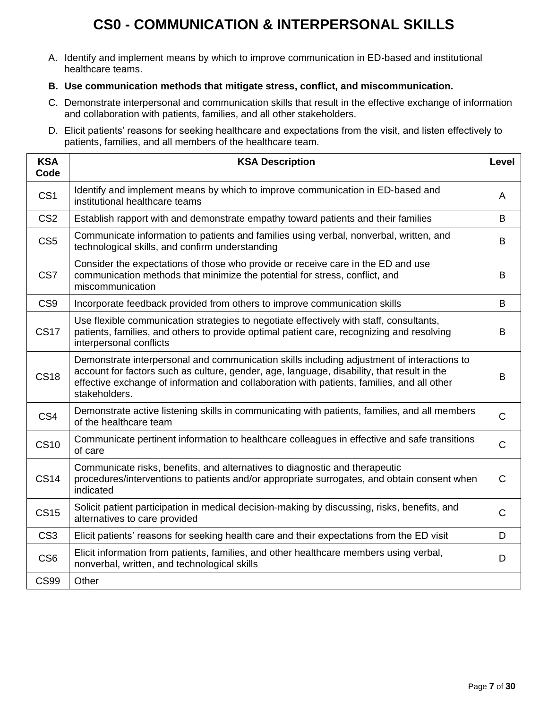# **CS0 - COMMUNICATION & INTERPERSONAL SKILLS**

<span id="page-6-0"></span>A. Identify and implement means by which to improve communication in ED‐based and institutional healthcare teams.

#### **B. Use communication methods that mitigate stress, conflict, and miscommunication.**

- C. Demonstrate interpersonal and communication skills that result in the effective exchange of information and collaboration with patients, families, and all other stakeholders.
- D. Elicit patients' reasons for seeking healthcare and expectations from the visit, and listen effectively to patients, families, and all members of the healthcare team.

| <b>KSA</b><br>Code | <b>KSA Description</b>                                                                                                                                                                                                                                                                                  | Level        |
|--------------------|---------------------------------------------------------------------------------------------------------------------------------------------------------------------------------------------------------------------------------------------------------------------------------------------------------|--------------|
| CS <sub>1</sub>    | Identify and implement means by which to improve communication in ED-based and<br>institutional healthcare teams                                                                                                                                                                                        | A            |
| CS <sub>2</sub>    | Establish rapport with and demonstrate empathy toward patients and their families                                                                                                                                                                                                                       | B            |
| CS <sub>5</sub>    | Communicate information to patients and families using verbal, nonverbal, written, and<br>technological skills, and confirm understanding                                                                                                                                                               | B            |
| CS7                | Consider the expectations of those who provide or receive care in the ED and use<br>communication methods that minimize the potential for stress, conflict, and<br>miscommunication                                                                                                                     | B            |
| CS <sub>9</sub>    | Incorporate feedback provided from others to improve communication skills                                                                                                                                                                                                                               | B            |
| <b>CS17</b>        | Use flexible communication strategies to negotiate effectively with staff, consultants,<br>patients, families, and others to provide optimal patient care, recognizing and resolving<br>interpersonal conflicts                                                                                         | B            |
| <b>CS18</b>        | Demonstrate interpersonal and communication skills including adjustment of interactions to<br>account for factors such as culture, gender, age, language, disability, that result in the<br>effective exchange of information and collaboration with patients, families, and all other<br>stakeholders. | B            |
| CS4                | Demonstrate active listening skills in communicating with patients, families, and all members<br>of the healthcare team                                                                                                                                                                                 | $\mathsf C$  |
| <b>CS10</b>        | Communicate pertinent information to healthcare colleagues in effective and safe transitions<br>of care                                                                                                                                                                                                 | $\mathsf C$  |
| <b>CS14</b>        | Communicate risks, benefits, and alternatives to diagnostic and therapeutic<br>procedures/interventions to patients and/or appropriate surrogates, and obtain consent when<br>indicated                                                                                                                 | $\mathsf{C}$ |
| <b>CS15</b>        | Solicit patient participation in medical decision-making by discussing, risks, benefits, and<br>alternatives to care provided                                                                                                                                                                           | $\mathsf{C}$ |
| CS <sub>3</sub>    | Elicit patients' reasons for seeking health care and their expectations from the ED visit                                                                                                                                                                                                               | D            |
| CS <sub>6</sub>    | Elicit information from patients, families, and other healthcare members using verbal,<br>nonverbal, written, and technological skills                                                                                                                                                                  | D            |
| <b>CS99</b>        | Other                                                                                                                                                                                                                                                                                                   |              |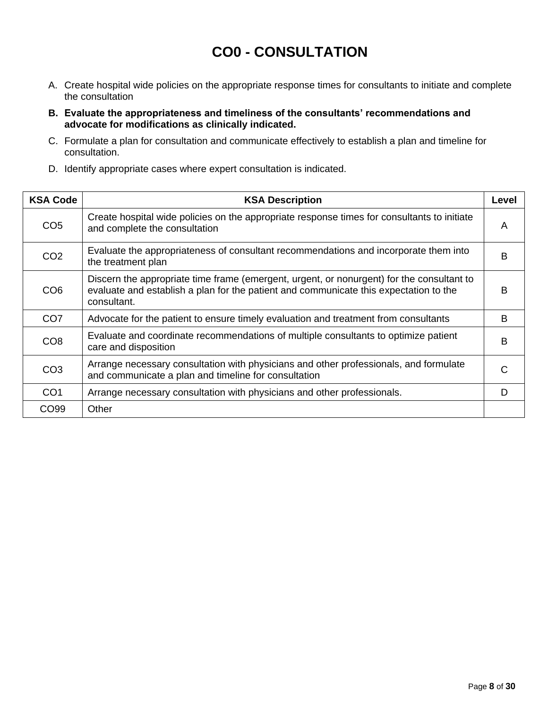### **CO0 - CONSULTATION**

- <span id="page-7-0"></span>A. Create hospital wide policies on the appropriate response times for consultants to initiate and complete the consultation
- **B. Evaluate the appropriateness and timeliness of the consultants' recommendations and advocate for modifications as clinically indicated.**
- C. Formulate a plan for consultation and communicate effectively to establish a plan and timeline for consultation.
- D. Identify appropriate cases where expert consultation is indicated.

| <b>KSA Code</b>  | <b>KSA Description</b>                                                                                                                                                                            | Level |
|------------------|---------------------------------------------------------------------------------------------------------------------------------------------------------------------------------------------------|-------|
| CO <sub>5</sub>  | Create hospital wide policies on the appropriate response times for consultants to initiate<br>and complete the consultation                                                                      | A     |
| CO <sub>2</sub>  | Evaluate the appropriateness of consultant recommendations and incorporate them into<br>the treatment plan                                                                                        | B     |
| CO <sub>6</sub>  | Discern the appropriate time frame (emergent, urgent, or nonurgent) for the consultant to<br>evaluate and establish a plan for the patient and communicate this expectation to the<br>consultant. | B     |
| CO <sub>7</sub>  | Advocate for the patient to ensure timely evaluation and treatment from consultants                                                                                                               | B     |
| CO <sub>8</sub>  | Evaluate and coordinate recommendations of multiple consultants to optimize patient<br>care and disposition                                                                                       | B     |
| CO <sub>3</sub>  | Arrange necessary consultation with physicians and other professionals, and formulate<br>and communicate a plan and timeline for consultation                                                     |       |
| CO <sub>1</sub>  | Arrange necessary consultation with physicians and other professionals.                                                                                                                           | D     |
| CO <sub>99</sub> | Other                                                                                                                                                                                             |       |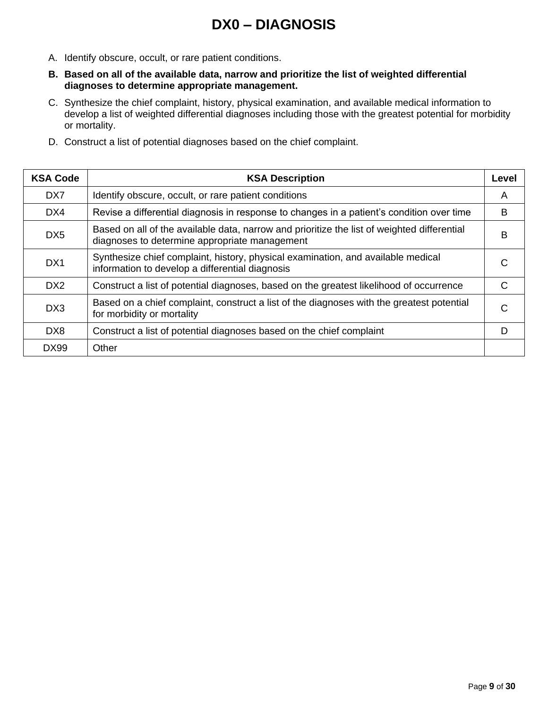### **DX0 – DIAGNOSIS**

- <span id="page-8-0"></span>A. Identify obscure, occult, or rare patient conditions.
- **B. Based on all of the available data, narrow and prioritize the list of weighted differential diagnoses to determine appropriate management.**
- C. Synthesize the chief complaint, history, physical examination, and available medical information to develop a list of weighted differential diagnoses including those with the greatest potential for morbidity or mortality.
- D. Construct a list of potential diagnoses based on the chief complaint.

| <b>KSA Code</b> | <b>KSA Description</b>                                                                                                                       | Level |
|-----------------|----------------------------------------------------------------------------------------------------------------------------------------------|-------|
| D <sub>X7</sub> | Identify obscure, occult, or rare patient conditions                                                                                         | A     |
| DX4             | Revise a differential diagnosis in response to changes in a patient's condition over time                                                    | B     |
| D <sub>X5</sub> | Based on all of the available data, narrow and prioritize the list of weighted differential<br>diagnoses to determine appropriate management | в     |
| DX1             | Synthesize chief complaint, history, physical examination, and available medical<br>information to develop a differential diagnosis          |       |
| D <sub>X2</sub> | Construct a list of potential diagnoses, based on the greatest likelihood of occurrence                                                      | C     |
| DX3             | Based on a chief complaint, construct a list of the diagnoses with the greatest potential<br>for morbidity or mortality                      |       |
| DX <sub>8</sub> | Construct a list of potential diagnoses based on the chief complaint                                                                         |       |
| <b>DX99</b>     | Other                                                                                                                                        |       |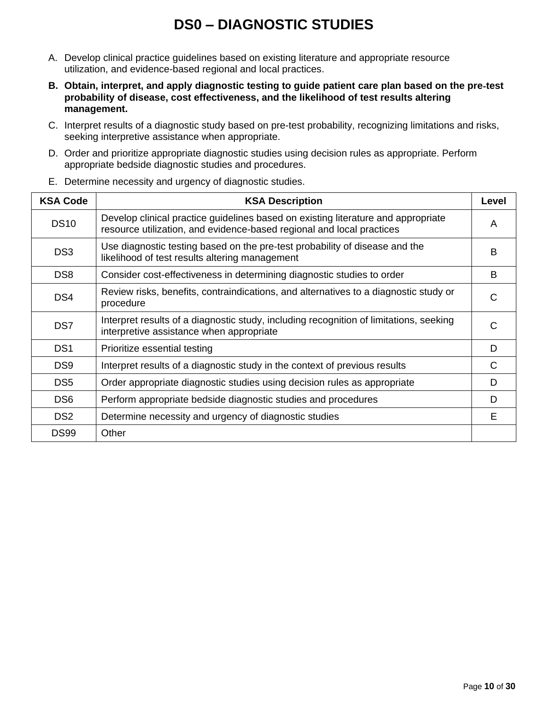## **DS0 – DIAGNOSTIC STUDIES**

- <span id="page-9-0"></span>A. Develop clinical practice guidelines based on existing literature and appropriate resource utilization, and evidence-based regional and local practices.
- **B. Obtain, interpret, and apply diagnostic testing to guide patient care plan based on the pre**‐**test probability of disease, cost effectiveness, and the likelihood of test results altering management.**
- C. Interpret results of a diagnostic study based on pre-test probability, recognizing limitations and risks, seeking interpretive assistance when appropriate.
- D. Order and prioritize appropriate diagnostic studies using decision rules as appropriate. Perform appropriate bedside diagnostic studies and procedures.

| <b>KSA Code</b> | <b>KSA Description</b>                                                                                                                                     | Level |
|-----------------|------------------------------------------------------------------------------------------------------------------------------------------------------------|-------|
| <b>DS10</b>     | Develop clinical practice guidelines based on existing literature and appropriate<br>resource utilization, and evidence-based regional and local practices | A     |
| DS <sub>3</sub> | Use diagnostic testing based on the pre-test probability of disease and the<br>likelihood of test results altering management                              | B     |
| DS <sub>8</sub> | Consider cost-effectiveness in determining diagnostic studies to order                                                                                     | B     |
| DS4             | Review risks, benefits, contraindications, and alternatives to a diagnostic study or<br>procedure                                                          | C     |
| DS <sub>7</sub> | Interpret results of a diagnostic study, including recognition of limitations, seeking<br>interpretive assistance when appropriate                         | C     |
| DS <sub>1</sub> | Prioritize essential testing                                                                                                                               | D     |
| DS <sub>9</sub> | Interpret results of a diagnostic study in the context of previous results                                                                                 | C     |
| DS <sub>5</sub> | Order appropriate diagnostic studies using decision rules as appropriate                                                                                   | D     |
| DS <sub>6</sub> | Perform appropriate bedside diagnostic studies and procedures                                                                                              | D     |
| DS <sub>2</sub> | Determine necessity and urgency of diagnostic studies                                                                                                      | F     |
| <b>DS99</b>     | Other                                                                                                                                                      |       |

E. Determine necessity and urgency of diagnostic studies.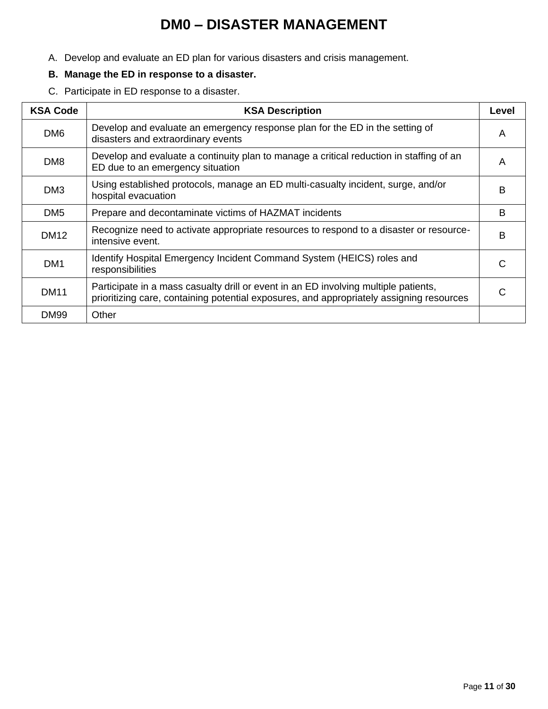### **DM0 – DISASTER MANAGEMENT**

<span id="page-10-0"></span>A. Develop and evaluate an ED plan for various disasters and crisis management.

#### **B. Manage the ED in response to a disaster.**

C. Participate in ED response to a disaster.

| <b>KSA Code</b> | <b>KSA Description</b>                                                                                                                                                          | Level |
|-----------------|---------------------------------------------------------------------------------------------------------------------------------------------------------------------------------|-------|
| DM <sub>6</sub> | Develop and evaluate an emergency response plan for the ED in the setting of<br>disasters and extraordinary events                                                              | A     |
| DM <sub>8</sub> | Develop and evaluate a continuity plan to manage a critical reduction in staffing of an<br>ED due to an emergency situation                                                     | A     |
| DM <sub>3</sub> | Using established protocols, manage an ED multi-casualty incident, surge, and/or<br>hospital evacuation                                                                         | в     |
| DM <sub>5</sub> | Prepare and decontaminate victims of HAZMAT incidents                                                                                                                           | в     |
| DM12            | Recognize need to activate appropriate resources to respond to a disaster or resource-<br>intensive event.                                                                      | в     |
| DM <sub>1</sub> | Identify Hospital Emergency Incident Command System (HEICS) roles and<br>responsibilities                                                                                       |       |
| <b>DM11</b>     | Participate in a mass casualty drill or event in an ED involving multiple patients,<br>prioritizing care, containing potential exposures, and appropriately assigning resources |       |
| <b>DM99</b>     | Other                                                                                                                                                                           |       |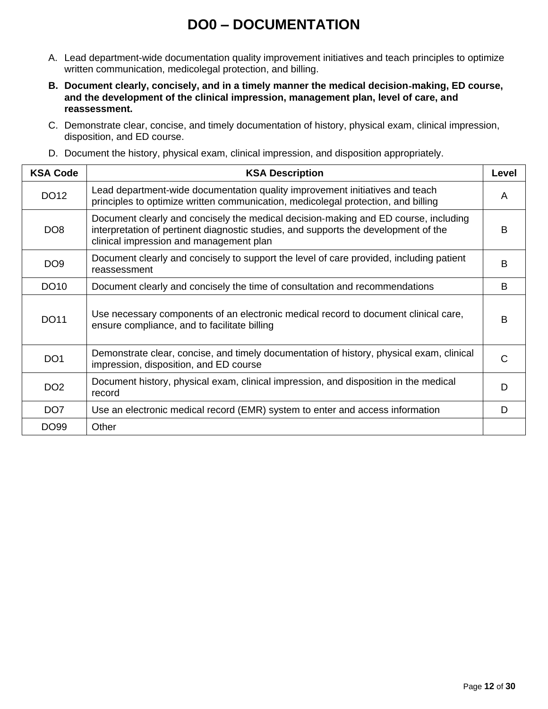### **DO0 – DOCUMENTATION**

- <span id="page-11-0"></span>A. Lead department-wide documentation quality improvement initiatives and teach principles to optimize written communication, medicolegal protection, and billing.
- **B. Document clearly, concisely, and in a timely manner the medical decision**‐**making, ED course, and the development of the clinical impression, management plan, level of care, and reassessment.**
- C. Demonstrate clear, concise, and timely documentation of history, physical exam, clinical impression, disposition, and ED course.
- D. Document the history, physical exam, clinical impression, and disposition appropriately.

| <b>KSA Code</b> | <b>KSA Description</b>                                                                                                                                                                                                | Level |
|-----------------|-----------------------------------------------------------------------------------------------------------------------------------------------------------------------------------------------------------------------|-------|
| DO12            | Lead department-wide documentation quality improvement initiatives and teach<br>principles to optimize written communication, medicolegal protection, and billing                                                     | A     |
| DO <sub>8</sub> | Document clearly and concisely the medical decision-making and ED course, including<br>interpretation of pertinent diagnostic studies, and supports the development of the<br>clinical impression and management plan | B     |
| DO9             | Document clearly and concisely to support the level of care provided, including patient<br>reassessment                                                                                                               | B     |
| <b>DO10</b>     | Document clearly and concisely the time of consultation and recommendations                                                                                                                                           | B     |
| <b>DO11</b>     | Use necessary components of an electronic medical record to document clinical care,<br>ensure compliance, and to facilitate billing                                                                                   | B     |
| DO <sub>1</sub> | Demonstrate clear, concise, and timely documentation of history, physical exam, clinical<br>impression, disposition, and ED course                                                                                    | C     |
| DO <sub>2</sub> | Document history, physical exam, clinical impression, and disposition in the medical<br>record                                                                                                                        | D     |
| DO <sub>7</sub> | Use an electronic medical record (EMR) system to enter and access information                                                                                                                                         | D     |
| DO99            | Other                                                                                                                                                                                                                 |       |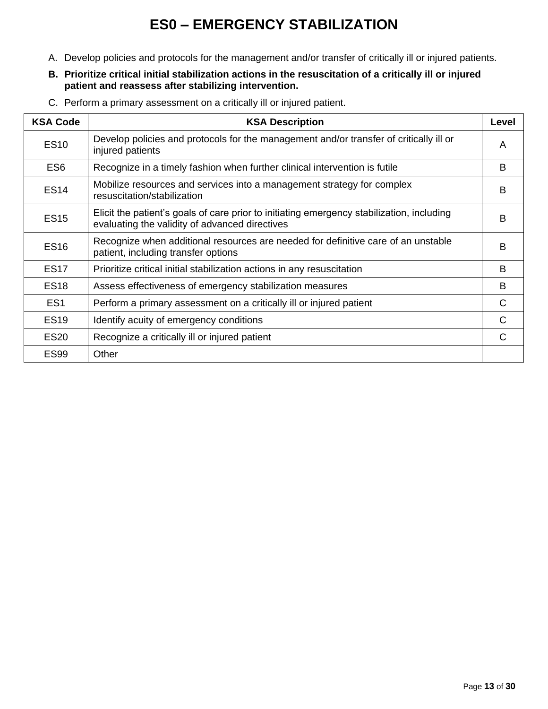# **ES0 – EMERGENCY STABILIZATION**

- <span id="page-12-0"></span>A. Develop policies and protocols for the management and/or transfer of critically ill or injured patients.
- **B. Prioritize critical initial stabilization actions in the resuscitation of a critically ill or injured patient and reassess after stabilizing intervention.**
- C. Perform a primary assessment on a critically ill or injured patient.

| <b>KSA Code</b> | <b>KSA Description</b>                                                                                                                      | Level |
|-----------------|---------------------------------------------------------------------------------------------------------------------------------------------|-------|
| <b>ES10</b>     | Develop policies and protocols for the management and/or transfer of critically ill or<br>injured patients                                  | A     |
| ES <sub>6</sub> | Recognize in a timely fashion when further clinical intervention is futile                                                                  | B     |
| <b>ES14</b>     | Mobilize resources and services into a management strategy for complex<br>resuscitation/stabilization                                       | B     |
| <b>ES15</b>     | Elicit the patient's goals of care prior to initiating emergency stabilization, including<br>evaluating the validity of advanced directives | B     |
| <b>ES16</b>     | Recognize when additional resources are needed for definitive care of an unstable<br>patient, including transfer options                    | B     |
| <b>ES17</b>     | Prioritize critical initial stabilization actions in any resuscitation                                                                      | B     |
| <b>ES18</b>     | Assess effectiveness of emergency stabilization measures                                                                                    | B     |
| ES <sub>1</sub> | Perform a primary assessment on a critically ill or injured patient                                                                         | C     |
| <b>ES19</b>     | Identify acuity of emergency conditions                                                                                                     | C     |
| <b>ES20</b>     | Recognize a critically ill or injured patient                                                                                               | C     |
| <b>ES99</b>     | Other                                                                                                                                       |       |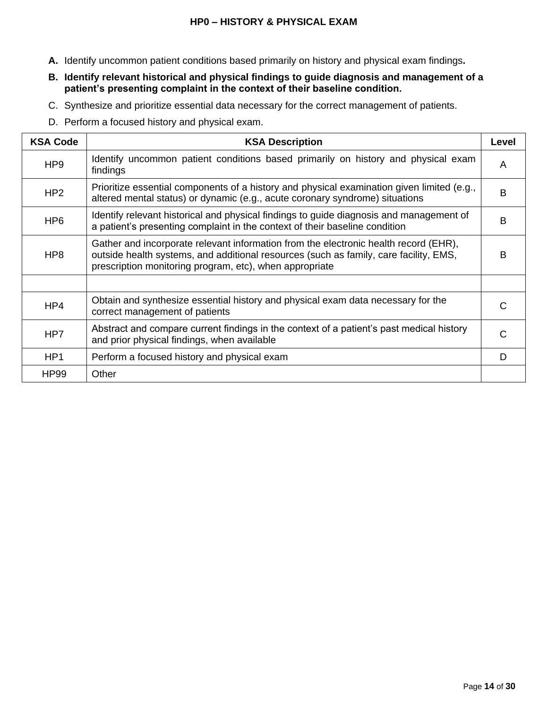#### **HP0 – HISTORY & PHYSICAL EXAM**

- **A.** Identify uncommon patient conditions based primarily on history and physical exam findings**.**
- **B. Identify relevant historical and physical findings to guide diagnosis and management of a patient's presenting complaint in the context of their baseline condition.**
- C. Synthesize and prioritize essential data necessary for the correct management of patients.
- D. Perform a focused history and physical exam.

| <b>KSA Code</b> | <b>KSA Description</b>                                                                                                                                                                                                                   | Level |
|-----------------|------------------------------------------------------------------------------------------------------------------------------------------------------------------------------------------------------------------------------------------|-------|
| HP <sub>9</sub> | Identify uncommon patient conditions based primarily on history and physical exam<br>findings                                                                                                                                            | A     |
| HP <sub>2</sub> | Prioritize essential components of a history and physical examination given limited (e.g.,<br>altered mental status) or dynamic (e.g., acute coronary syndrome) situations                                                               | B     |
| HP <sub>6</sub> | Identify relevant historical and physical findings to guide diagnosis and management of<br>a patient's presenting complaint in the context of their baseline condition                                                                   | B     |
| HP <sub>8</sub> | Gather and incorporate relevant information from the electronic health record (EHR),<br>outside health systems, and additional resources (such as family, care facility, EMS,<br>prescription monitoring program, etc), when appropriate | B     |
|                 |                                                                                                                                                                                                                                          |       |
| HP4             | Obtain and synthesize essential history and physical exam data necessary for the<br>correct management of patients                                                                                                                       | C     |
| HP <sub>7</sub> | Abstract and compare current findings in the context of a patient's past medical history<br>and prior physical findings, when available                                                                                                  | C     |
| HP <sub>1</sub> | Perform a focused history and physical exam                                                                                                                                                                                              | D     |
| <b>HP99</b>     | Other                                                                                                                                                                                                                                    |       |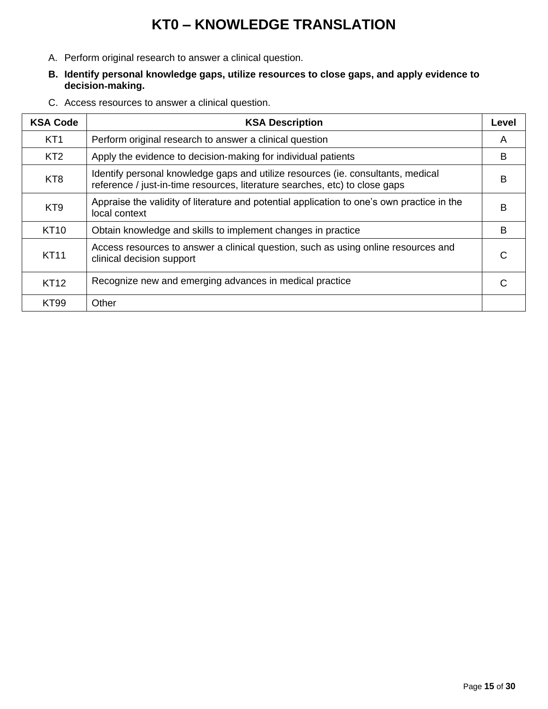# **KT0 – KNOWLEDGE TRANSLATION**

- <span id="page-14-0"></span>A. Perform original research to answer a clinical question.
- **B. Identify personal knowledge gaps, utilize resources to close gaps, and apply evidence to decision**‐**making.**
- C. Access resources to answer a clinical question.

| <b>KSA Code</b> | <b>KSA Description</b>                                                                                                                                          | Level |
|-----------------|-----------------------------------------------------------------------------------------------------------------------------------------------------------------|-------|
| KT <sub>1</sub> | Perform original research to answer a clinical question                                                                                                         | A     |
| KT <sub>2</sub> | Apply the evidence to decision-making for individual patients                                                                                                   | B     |
| KT <sub>8</sub> | Identify personal knowledge gaps and utilize resources (ie. consultants, medical<br>reference / just-in-time resources, literature searches, etc) to close gaps | B     |
| KT <sub>9</sub> | Appraise the validity of literature and potential application to one's own practice in the<br>local context                                                     | в     |
| <b>KT10</b>     | Obtain knowledge and skills to implement changes in practice                                                                                                    | B     |
| <b>KT11</b>     | Access resources to answer a clinical question, such as using online resources and<br>clinical decision support                                                 |       |
| <b>KT12</b>     | Recognize new and emerging advances in medical practice                                                                                                         |       |
| <b>KT99</b>     | Other                                                                                                                                                           |       |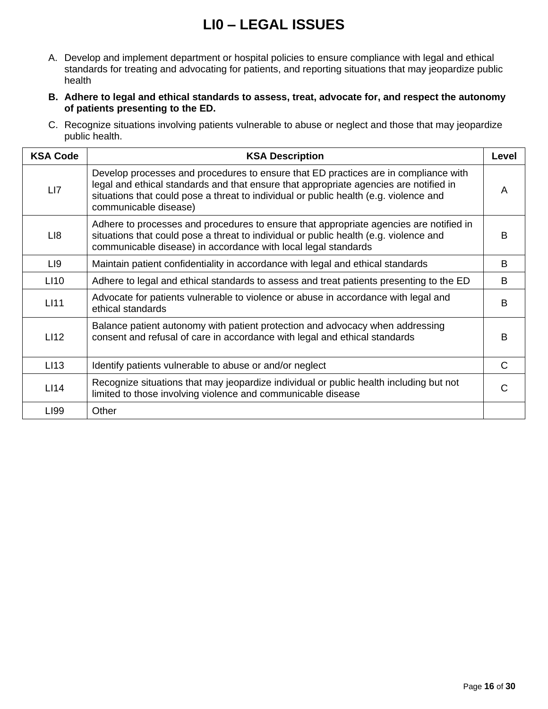# **LI0 – LEGAL ISSUES**

- <span id="page-15-0"></span>A. Develop and implement department or hospital policies to ensure compliance with legal and ethical standards for treating and advocating for patients, and reporting situations that may jeopardize public health
- **B. Adhere to legal and ethical standards to assess, treat, advocate for, and respect the autonomy of patients presenting to the ED.**
- C. Recognize situations involving patients vulnerable to abuse or neglect and those that may jeopardize public health.

| <b>KSA Code</b>  | <b>KSA Description</b>                                                                                                                                                                                                                                                                         | Level        |
|------------------|------------------------------------------------------------------------------------------------------------------------------------------------------------------------------------------------------------------------------------------------------------------------------------------------|--------------|
| LI7              | Develop processes and procedures to ensure that ED practices are in compliance with<br>legal and ethical standards and that ensure that appropriate agencies are notified in<br>situations that could pose a threat to individual or public health (e.g. violence and<br>communicable disease) | A            |
| LI8              | Adhere to processes and procedures to ensure that appropriate agencies are notified in<br>situations that could pose a threat to individual or public health (e.g. violence and<br>communicable disease) in accordance with local legal standards                                              | <sub>B</sub> |
| LI9              | Maintain patient confidentiality in accordance with legal and ethical standards                                                                                                                                                                                                                | B            |
| LI <sub>10</sub> | Adhere to legal and ethical standards to assess and treat patients presenting to the ED                                                                                                                                                                                                        | B            |
| <b>LI11</b>      | Advocate for patients vulnerable to violence or abuse in accordance with legal and<br>ethical standards                                                                                                                                                                                        | <sub>B</sub> |
| LI12             | Balance patient autonomy with patient protection and advocacy when addressing<br>consent and refusal of care in accordance with legal and ethical standards                                                                                                                                    | <sub>B</sub> |
| LI <sub>13</sub> | Identify patients vulnerable to abuse or and/or neglect                                                                                                                                                                                                                                        | C            |
| L114             | Recognize situations that may jeopardize individual or public health including but not<br>limited to those involving violence and communicable disease                                                                                                                                         | C            |
| LI99             | Other                                                                                                                                                                                                                                                                                          |              |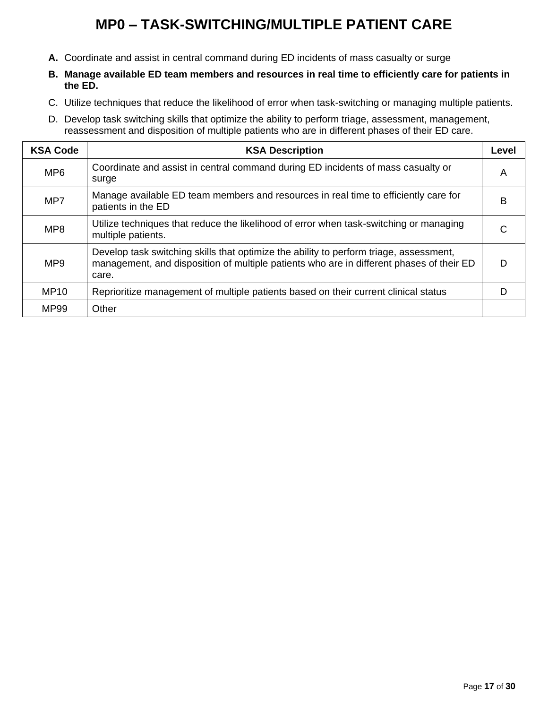# **MP0 – TASK-SWITCHING/MULTIPLE PATIENT CARE**

- <span id="page-16-0"></span>**A.** Coordinate and assist in central command during ED incidents of mass casualty or surge
- **B. Manage available ED team members and resources in real time to efficiently care for patients in the ED.**
- C. Utilize techniques that reduce the likelihood of error when task-switching or managing multiple patients.
- D. Develop task switching skills that optimize the ability to perform triage, assessment, management, reassessment and disposition of multiple patients who are in different phases of their ED care.

| <b>KSA Code</b> | <b>KSA Description</b>                                                                                                                                                                      | Level |
|-----------------|---------------------------------------------------------------------------------------------------------------------------------------------------------------------------------------------|-------|
| MP <sub>6</sub> | Coordinate and assist in central command during ED incidents of mass casualty or<br>surge                                                                                                   | A     |
| MP7             | Manage available ED team members and resources in real time to efficiently care for<br>patients in the ED                                                                                   | B     |
| MP <sub>8</sub> | Utilize techniques that reduce the likelihood of error when task-switching or managing<br>multiple patients.                                                                                | C     |
| MP <sub>9</sub> | Develop task switching skills that optimize the ability to perform triage, assessment,<br>management, and disposition of multiple patients who are in different phases of their ED<br>care. | D     |
| <b>MP10</b>     | Reprioritize management of multiple patients based on their current clinical status                                                                                                         | D     |
| MP99            | Other                                                                                                                                                                                       |       |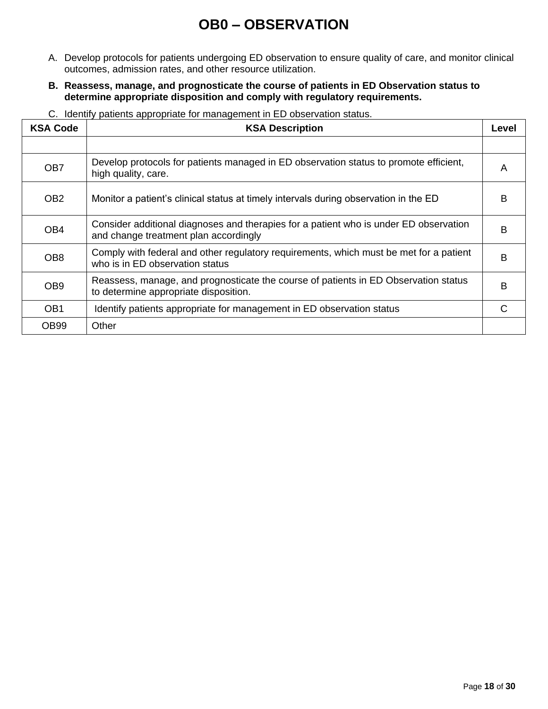### **OB0 – OBSERVATION**

- <span id="page-17-0"></span>A. Develop protocols for patients undergoing ED observation to ensure quality of care, and monitor clinical outcomes, admission rates, and other resource utilization.
- **B. Reassess, manage, and prognosticate the course of patients in ED Observation status to determine appropriate disposition and comply with regulatory requirements.**
- C. Identify patients appropriate for management in ED observation status.

| <b>KSA Code</b> | <b>KSA Description</b>                                                                                                         | Level |
|-----------------|--------------------------------------------------------------------------------------------------------------------------------|-------|
| OB7             | Develop protocols for patients managed in ED observation status to promote efficient,<br>high quality, care.                   | A     |
| OB <sub>2</sub> | Monitor a patient's clinical status at timely intervals during observation in the ED                                           | B     |
| OB <sub>4</sub> | Consider additional diagnoses and therapies for a patient who is under ED observation<br>and change treatment plan accordingly | B     |
| OB <sub>8</sub> | Comply with federal and other regulatory requirements, which must be met for a patient<br>who is in ED observation status      | B     |
| OB <sub>9</sub> | Reassess, manage, and prognosticate the course of patients in ED Observation status<br>to determine appropriate disposition.   | B     |
| OB <sub>1</sub> | Identify patients appropriate for management in ED observation status                                                          | C     |
| <b>OB99</b>     | Other                                                                                                                          |       |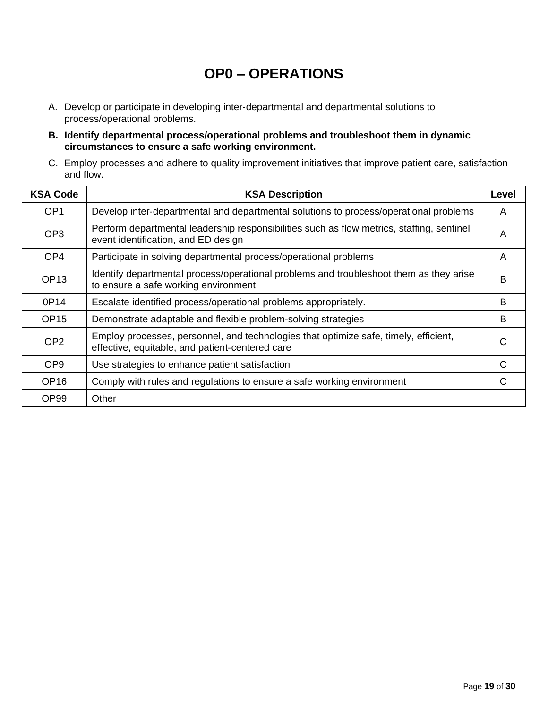### **OP0 – OPERATIONS**

- <span id="page-18-0"></span>A. Develop or participate in developing inter‐departmental and departmental solutions to process/operational problems.
- **B. Identify departmental process/operational problems and troubleshoot them in dynamic circumstances to ensure a safe working environment.**
- C. Employ processes and adhere to quality improvement initiatives that improve patient care, satisfaction and flow.

| <b>KSA Code</b>  | <b>KSA Description</b>                                                                                                                  | Level |
|------------------|-----------------------------------------------------------------------------------------------------------------------------------------|-------|
| OP <sub>1</sub>  | Develop inter-departmental and departmental solutions to process/operational problems                                                   | A     |
| OP <sub>3</sub>  | Perform departmental leadership responsibilities such as flow metrics, staffing, sentinel<br>event identification, and ED design        | A     |
| OP <sub>4</sub>  | Participate in solving departmental process/operational problems                                                                        | A     |
| OP <sub>13</sub> | Identify departmental process/operational problems and troubleshoot them as they arise<br>to ensure a safe working environment          | B     |
| 0P14             | Escalate identified process/operational problems appropriately.                                                                         | B     |
| OP <sub>15</sub> | Demonstrate adaptable and flexible problem-solving strategies                                                                           | B     |
| OP <sub>2</sub>  | Employ processes, personnel, and technologies that optimize safe, timely, efficient,<br>effective, equitable, and patient-centered care | C     |
| OP <sub>9</sub>  | Use strategies to enhance patient satisfaction                                                                                          | C     |
| OP <sub>16</sub> | Comply with rules and regulations to ensure a safe working environment                                                                  | C     |
| OP <sub>99</sub> | Other                                                                                                                                   |       |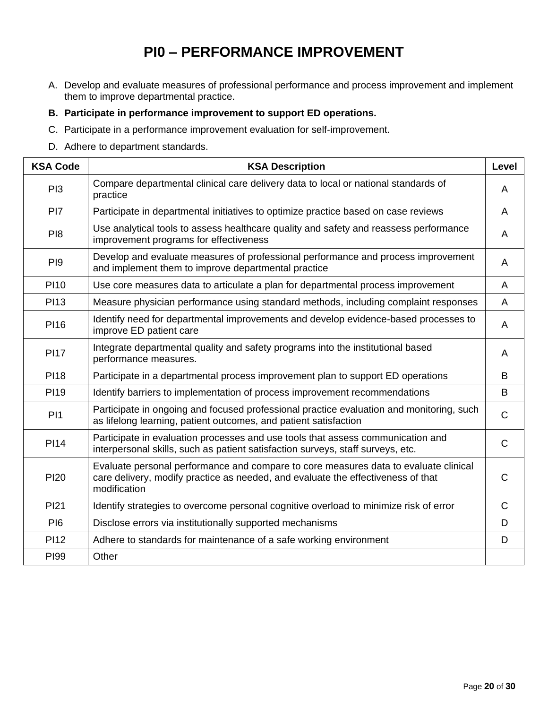# **PI0 – PERFORMANCE IMPROVEMENT**

- <span id="page-19-0"></span>A. Develop and evaluate measures of professional performance and process improvement and implement them to improve departmental practice.
- **B. Participate in performance improvement to support ED operations.**
- C. Participate in a performance improvement evaluation for self‐improvement.
- D. Adhere to department standards.

| <b>KSA Code</b> | <b>KSA Description</b>                                                                                                                                                                   | <b>Level</b> |
|-----------------|------------------------------------------------------------------------------------------------------------------------------------------------------------------------------------------|--------------|
| PI <sub>3</sub> | Compare departmental clinical care delivery data to local or national standards of<br>practice                                                                                           | A            |
| PI7             | Participate in departmental initiatives to optimize practice based on case reviews                                                                                                       | A            |
| P <sub>18</sub> | Use analytical tools to assess healthcare quality and safety and reassess performance<br>improvement programs for effectiveness                                                          | A            |
| P <sub>19</sub> | Develop and evaluate measures of professional performance and process improvement<br>and implement them to improve departmental practice                                                 | A            |
| <b>PI10</b>     | Use core measures data to articulate a plan for departmental process improvement                                                                                                         | A            |
| <b>PI13</b>     | Measure physician performance using standard methods, including complaint responses                                                                                                      | A            |
| <b>PI16</b>     | Identify need for departmental improvements and develop evidence-based processes to<br>improve ED patient care                                                                           | A            |
| <b>PI17</b>     | Integrate departmental quality and safety programs into the institutional based<br>performance measures.                                                                                 | A            |
| <b>PI18</b>     | Participate in a departmental process improvement plan to support ED operations                                                                                                          | B            |
| <b>PI19</b>     | Identify barriers to implementation of process improvement recommendations                                                                                                               | B            |
| P <sub>11</sub> | Participate in ongoing and focused professional practice evaluation and monitoring, such<br>as lifelong learning, patient outcomes, and patient satisfaction                             | $\mathsf{C}$ |
| <b>PI14</b>     | Participate in evaluation processes and use tools that assess communication and<br>interpersonal skills, such as patient satisfaction surveys, staff surveys, etc.                       | $\mathsf{C}$ |
| <b>PI20</b>     | Evaluate personal performance and compare to core measures data to evaluate clinical<br>care delivery, modify practice as needed, and evaluate the effectiveness of that<br>modification | $\mathsf{C}$ |
| <b>PI21</b>     | Identify strategies to overcome personal cognitive overload to minimize risk of error                                                                                                    | $\mathsf{C}$ |
| PI <sub>6</sub> | Disclose errors via institutionally supported mechanisms                                                                                                                                 | D            |
| <b>PI12</b>     | Adhere to standards for maintenance of a safe working environment                                                                                                                        | D            |
| <b>PI99</b>     | Other                                                                                                                                                                                    |              |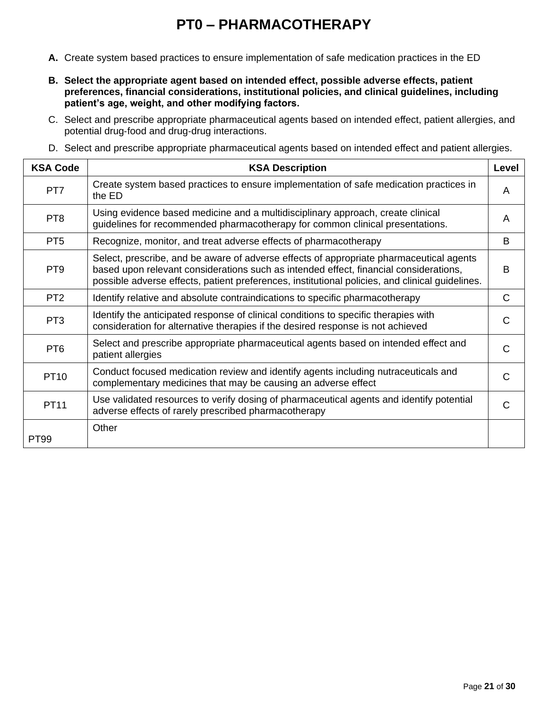# **PT0 – PHARMACOTHERAPY**

- <span id="page-20-0"></span>**A.** Create system based practices to ensure implementation of safe medication practices in the ED
- **B. Select the appropriate agent based on intended effect, possible adverse effects, patient preferences, financial considerations, institutional policies, and clinical guidelines, including patient's age, weight, and other modifying factors.**
- C. Select and prescribe appropriate pharmaceutical agents based on intended effect, patient allergies, and potential drug‐food and drug‐drug interactions.
- D. Select and prescribe appropriate pharmaceutical agents based on intended effect and patient allergies.

| <b>KSA Code</b> | <b>KSA Description</b>                                                                                                                                                                                                                                                              | Level |
|-----------------|-------------------------------------------------------------------------------------------------------------------------------------------------------------------------------------------------------------------------------------------------------------------------------------|-------|
| PT7             | Create system based practices to ensure implementation of safe medication practices in<br>the ED                                                                                                                                                                                    | A     |
| PT <sub>8</sub> | Using evidence based medicine and a multidisciplinary approach, create clinical<br>guidelines for recommended pharmacotherapy for common clinical presentations.                                                                                                                    | A     |
| PT <sub>5</sub> | Recognize, monitor, and treat adverse effects of pharmacotherapy                                                                                                                                                                                                                    | B     |
| PT <sub>9</sub> | Select, prescribe, and be aware of adverse effects of appropriate pharmaceutical agents<br>based upon relevant considerations such as intended effect, financial considerations,<br>possible adverse effects, patient preferences, institutional policies, and clinical guidelines. | B     |
| PT <sub>2</sub> | Identify relative and absolute contraindications to specific pharmacotherapy                                                                                                                                                                                                        | C     |
| PT <sub>3</sub> | Identify the anticipated response of clinical conditions to specific therapies with<br>consideration for alternative therapies if the desired response is not achieved                                                                                                              | C     |
| PT <sub>6</sub> | Select and prescribe appropriate pharmaceutical agents based on intended effect and<br>patient allergies                                                                                                                                                                            | C     |
| <b>PT10</b>     | Conduct focused medication review and identify agents including nutraceuticals and<br>complementary medicines that may be causing an adverse effect                                                                                                                                 | C     |
| <b>PT11</b>     | Use validated resources to verify dosing of pharmaceutical agents and identify potential<br>adverse effects of rarely prescribed pharmacotherapy                                                                                                                                    | С     |
| <b>PT99</b>     | Other                                                                                                                                                                                                                                                                               |       |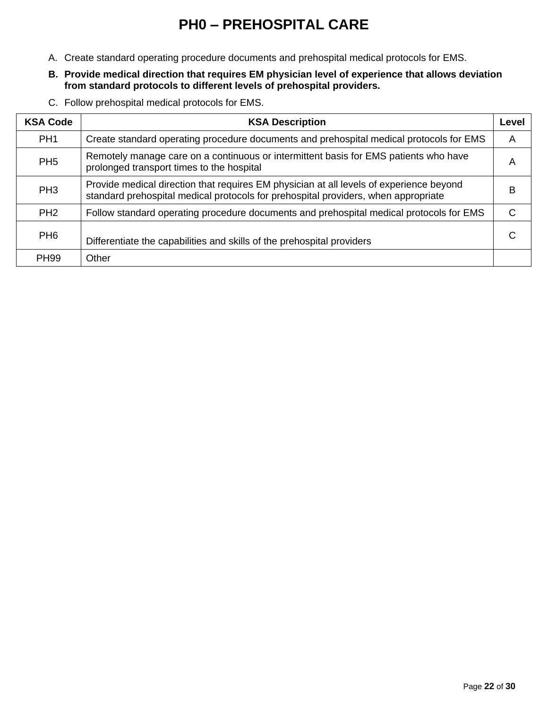# **PH0 – PREHOSPITAL CARE**

- <span id="page-21-0"></span>A. Create standard operating procedure documents and prehospital medical protocols for EMS.
- **B. Provide medical direction that requires EM physician level of experience that allows deviation from standard protocols to different levels of prehospital providers.**
- C. Follow prehospital medical protocols for EMS.

| <b>KSA Code</b> | <b>KSA Description</b>                                                                                                                                                        | Level |
|-----------------|-------------------------------------------------------------------------------------------------------------------------------------------------------------------------------|-------|
| PH <sub>1</sub> | Create standard operating procedure documents and prehospital medical protocols for EMS                                                                                       | A     |
| PH <sub>5</sub> | Remotely manage care on a continuous or intermittent basis for EMS patients who have<br>prolonged transport times to the hospital                                             | A     |
| PH <sub>3</sub> | Provide medical direction that requires EM physician at all levels of experience beyond<br>standard prehospital medical protocols for prehospital providers, when appropriate | в     |
| PH <sub>2</sub> | Follow standard operating procedure documents and prehospital medical protocols for EMS                                                                                       |       |
| PH <sub>6</sub> | Differentiate the capabilities and skills of the prehospital providers                                                                                                        |       |
| <b>PH99</b>     | Other                                                                                                                                                                         |       |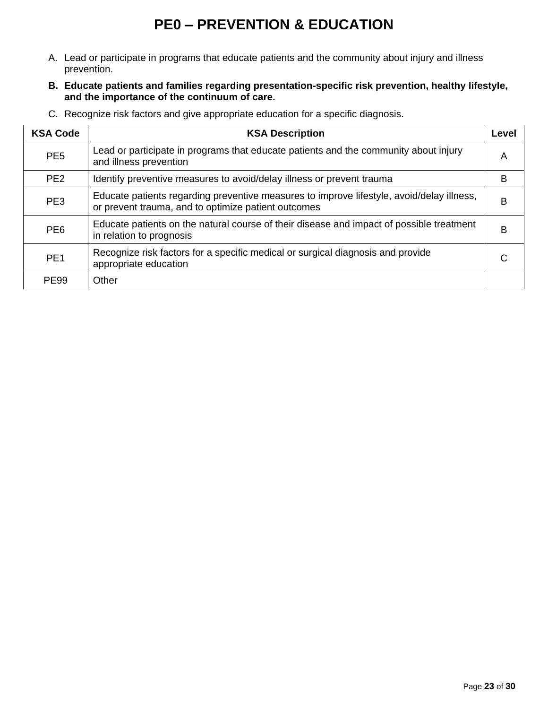## **PE0 – PREVENTION & EDUCATION**

- <span id="page-22-0"></span>A. Lead or participate in programs that educate patients and the community about injury and illness prevention.
- **B. Educate patients and families regarding presentation-specific risk prevention, healthy lifestyle, and the importance of the continuum of care.**
- **KSA Code KSA Description KSA Description Level** PE5 Lead or participate in programs that educate patients and the community about injury A<br>and illness prevention PE2 Identify preventive measures to avoid/delay illness or prevent trauma PE3 Educate patients regarding preventive measures to improve lifestyle, avoid/delay illness, Ludcale patients regarding preventive measures to improve inestyle, avoid/delay inness, B B<br>or prevent trauma, and to optimize patient outcomes PE6 Educate patients on the natural course of their disease and impact of possible treatment B PE1 Recognize risk factors for a specific medical or surgical diagnosis and provide appropriate education PE99 | Other
- C. Recognize risk factors and give appropriate education for a specific diagnosis.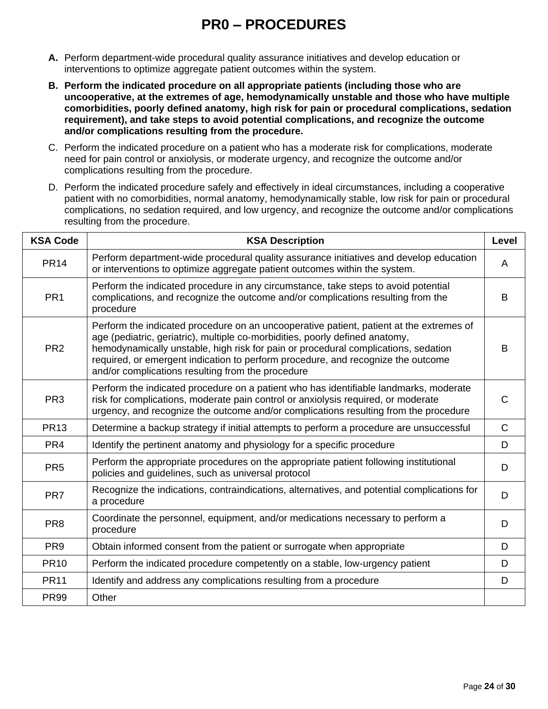### **PR0 – PROCEDURES**

- <span id="page-23-0"></span>**A.** Perform department-wide procedural quality assurance initiatives and develop education or interventions to optimize aggregate patient outcomes within the system.
- **B. Perform the indicated procedure on all appropriate patients (including those who are uncooperative, at the extremes of age, hemodynamically unstable and those who have multiple comorbidities, poorly defined anatomy, high risk for pain or procedural complications, sedation requirement), and take steps to avoid potential complications, and recognize the outcome and/or complications resulting from the procedure.**
- C. Perform the indicated procedure on a patient who has a moderate risk for complications, moderate need for pain control or anxiolysis, or moderate urgency, and recognize the outcome and/or complications resulting from the procedure.
- D. Perform the indicated procedure safely and effectively in ideal circumstances, including a cooperative patient with no comorbidities, normal anatomy, hemodynamically stable, low risk for pain or procedural complications, no sedation required, and low urgency, and recognize the outcome and/or complications resulting from the procedure.

| <b>KSA Code</b> | <b>KSA Description</b>                                                                                                                                                                                                                                                                                                                                                                                 | Level        |
|-----------------|--------------------------------------------------------------------------------------------------------------------------------------------------------------------------------------------------------------------------------------------------------------------------------------------------------------------------------------------------------------------------------------------------------|--------------|
| <b>PR14</b>     | Perform department-wide procedural quality assurance initiatives and develop education<br>or interventions to optimize aggregate patient outcomes within the system.                                                                                                                                                                                                                                   | A            |
| PR <sub>1</sub> | Perform the indicated procedure in any circumstance, take steps to avoid potential<br>complications, and recognize the outcome and/or complications resulting from the<br>procedure                                                                                                                                                                                                                    | B            |
| PR <sub>2</sub> | Perform the indicated procedure on an uncooperative patient, patient at the extremes of<br>age (pediatric, geriatric), multiple co-morbidities, poorly defined anatomy,<br>hemodynamically unstable, high risk for pain or procedural complications, sedation<br>required, or emergent indication to perform procedure, and recognize the outcome<br>and/or complications resulting from the procedure | B            |
| PR <sub>3</sub> | Perform the indicated procedure on a patient who has identifiable landmarks, moderate<br>risk for complications, moderate pain control or anxiolysis required, or moderate<br>urgency, and recognize the outcome and/or complications resulting from the procedure                                                                                                                                     | C            |
| <b>PR13</b>     | Determine a backup strategy if initial attempts to perform a procedure are unsuccessful                                                                                                                                                                                                                                                                                                                | $\mathsf{C}$ |
| PR <sub>4</sub> | Identify the pertinent anatomy and physiology for a specific procedure                                                                                                                                                                                                                                                                                                                                 | D            |
| PR <sub>5</sub> | Perform the appropriate procedures on the appropriate patient following institutional<br>policies and guidelines, such as universal protocol                                                                                                                                                                                                                                                           | D            |
| PR7             | Recognize the indications, contraindications, alternatives, and potential complications for<br>a procedure                                                                                                                                                                                                                                                                                             | D            |
| PR <sub>8</sub> | Coordinate the personnel, equipment, and/or medications necessary to perform a<br>procedure                                                                                                                                                                                                                                                                                                            | D            |
| PR <sub>9</sub> | Obtain informed consent from the patient or surrogate when appropriate                                                                                                                                                                                                                                                                                                                                 | D            |
| <b>PR10</b>     | Perform the indicated procedure competently on a stable, low-urgency patient                                                                                                                                                                                                                                                                                                                           | D            |
| <b>PR11</b>     | Identify and address any complications resulting from a procedure                                                                                                                                                                                                                                                                                                                                      | D            |
| <b>PR99</b>     | Other                                                                                                                                                                                                                                                                                                                                                                                                  |              |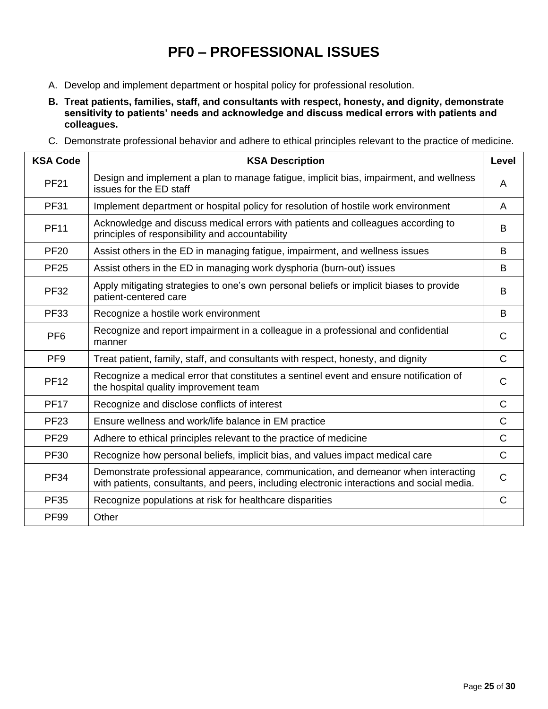### **PF0 – PROFESSIONAL ISSUES**

- <span id="page-24-0"></span>A. Develop and implement department or hospital policy for professional resolution.
- **B. Treat patients, families, staff, and consultants with respect, honesty, and dignity, demonstrate sensitivity to patients' needs and acknowledge and discuss medical errors with patients and colleagues.**
- C. Demonstrate professional behavior and adhere to ethical principles relevant to the practice of medicine.

| <b>KSA Code</b> | <b>KSA Description</b>                                                                                                                                                          | <b>Level</b> |
|-----------------|---------------------------------------------------------------------------------------------------------------------------------------------------------------------------------|--------------|
| <b>PF21</b>     | Design and implement a plan to manage fatigue, implicit bias, impairment, and wellness<br>issues for the ED staff                                                               | A            |
| <b>PF31</b>     | Implement department or hospital policy for resolution of hostile work environment                                                                                              | A            |
| <b>PF11</b>     | Acknowledge and discuss medical errors with patients and colleagues according to<br>principles of responsibility and accountability                                             | B            |
| <b>PF20</b>     | Assist others in the ED in managing fatigue, impairment, and wellness issues                                                                                                    | B            |
| <b>PF25</b>     | Assist others in the ED in managing work dysphoria (burn-out) issues                                                                                                            | B            |
| <b>PF32</b>     | Apply mitigating strategies to one's own personal beliefs or implicit biases to provide<br>patient-centered care                                                                | B            |
| <b>PF33</b>     | Recognize a hostile work environment                                                                                                                                            | B            |
| PF <sub>6</sub> | Recognize and report impairment in a colleague in a professional and confidential<br>manner                                                                                     | C            |
| PF <sub>9</sub> | Treat patient, family, staff, and consultants with respect, honesty, and dignity                                                                                                | $\mathsf{C}$ |
| <b>PF12</b>     | Recognize a medical error that constitutes a sentinel event and ensure notification of<br>the hospital quality improvement team                                                 | $\mathsf{C}$ |
| <b>PF17</b>     | Recognize and disclose conflicts of interest                                                                                                                                    | $\mathsf{C}$ |
| <b>PF23</b>     | Ensure wellness and work/life balance in EM practice                                                                                                                            | $\mathsf{C}$ |
| <b>PF29</b>     | Adhere to ethical principles relevant to the practice of medicine                                                                                                               | $\mathsf{C}$ |
| <b>PF30</b>     | Recognize how personal beliefs, implicit bias, and values impact medical care                                                                                                   | $\mathsf{C}$ |
| <b>PF34</b>     | Demonstrate professional appearance, communication, and demeanor when interacting<br>with patients, consultants, and peers, including electronic interactions and social media. | $\mathsf{C}$ |
| <b>PF35</b>     | Recognize populations at risk for healthcare disparities                                                                                                                        | $\mathsf C$  |
| <b>PF99</b>     | Other                                                                                                                                                                           |              |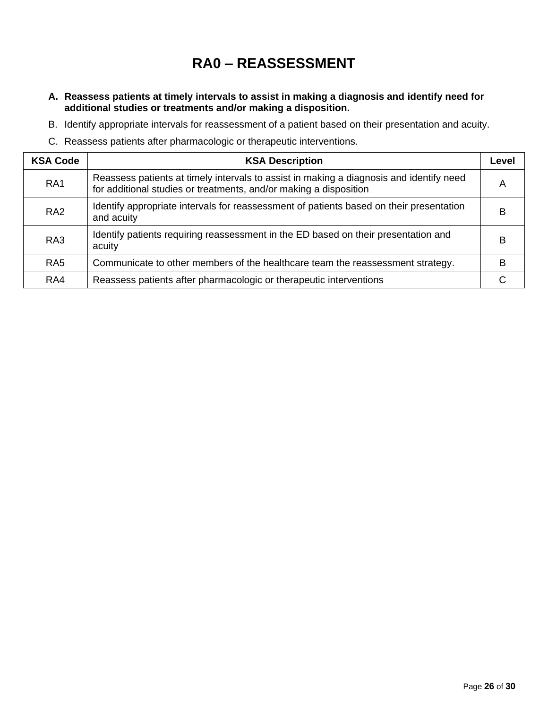### **RA0 – REASSESSMENT**

- <span id="page-25-0"></span>**A. Reassess patients at timely intervals to assist in making a diagnosis and identify need for additional studies or treatments and/or making a disposition.**
- B. Identify appropriate intervals for reassessment of a patient based on their presentation and acuity.
- C. Reassess patients after pharmacologic or therapeutic interventions.

| <b>KSA Code</b> | <b>KSA Description</b>                                                                                                                                       | Level |
|-----------------|--------------------------------------------------------------------------------------------------------------------------------------------------------------|-------|
| RA <sub>1</sub> | Reassess patients at timely intervals to assist in making a diagnosis and identify need<br>for additional studies or treatments, and/or making a disposition | А     |
| RA <sub>2</sub> | Identify appropriate intervals for reassessment of patients based on their presentation<br>and acuity                                                        | B     |
| RA <sub>3</sub> | Identify patients requiring reassessment in the ED based on their presentation and<br>acuity                                                                 |       |
| RA <sub>5</sub> | Communicate to other members of the healthcare team the reassessment strategy.                                                                               | R     |
| RA4             | Reassess patients after pharmacologic or therapeutic interventions                                                                                           |       |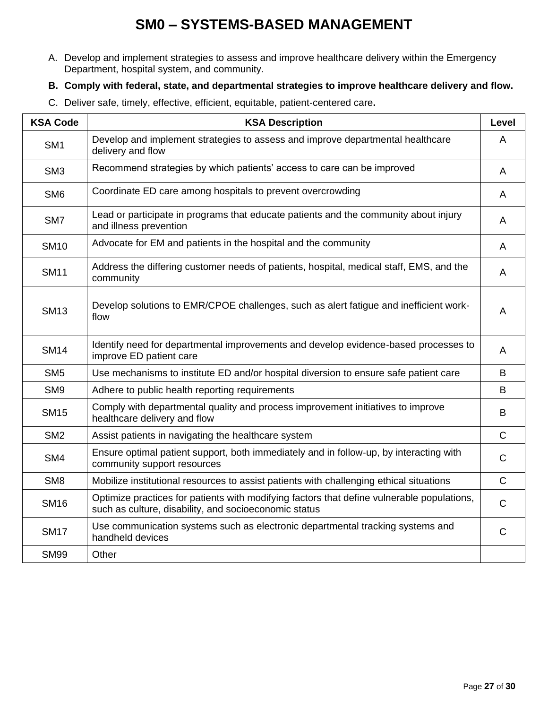### **SM0 – SYSTEMS-BASED MANAGEMENT**

<span id="page-26-0"></span>A. Develop and implement strategies to assess and improve healthcare delivery within the Emergency Department, hospital system, and community.

#### **B. Comply with federal, state, and departmental strategies to improve healthcare delivery and flow.**

C. Deliver safe, timely, effective, efficient, equitable, patient‐centered care**.** 

| <b>KSA Code</b> | <b>KSA Description</b>                                                                                                                              | <b>Level</b>   |
|-----------------|-----------------------------------------------------------------------------------------------------------------------------------------------------|----------------|
| SM <sub>1</sub> | Develop and implement strategies to assess and improve departmental healthcare<br>delivery and flow                                                 | A              |
| SM <sub>3</sub> | Recommend strategies by which patients' access to care can be improved                                                                              | $\overline{A}$ |
| SM <sub>6</sub> | Coordinate ED care among hospitals to prevent overcrowding                                                                                          | A              |
| SM7             | Lead or participate in programs that educate patients and the community about injury<br>and illness prevention                                      | A              |
| <b>SM10</b>     | Advocate for EM and patients in the hospital and the community                                                                                      | A              |
| <b>SM11</b>     | Address the differing customer needs of patients, hospital, medical staff, EMS, and the<br>community                                                | A              |
| <b>SM13</b>     | Develop solutions to EMR/CPOE challenges, such as alert fatigue and inefficient work-<br>flow                                                       | A              |
| <b>SM14</b>     | Identify need for departmental improvements and develop evidence-based processes to<br>improve ED patient care                                      | A              |
| SM <sub>5</sub> | Use mechanisms to institute ED and/or hospital diversion to ensure safe patient care                                                                | В              |
| SM <sub>9</sub> | Adhere to public health reporting requirements                                                                                                      | B              |
| <b>SM15</b>     | Comply with departmental quality and process improvement initiatives to improve<br>healthcare delivery and flow                                     | B              |
| SM <sub>2</sub> | Assist patients in navigating the healthcare system                                                                                                 | $\mathsf{C}$   |
| SM4             | Ensure optimal patient support, both immediately and in follow-up, by interacting with<br>community support resources                               | $\mathsf{C}$   |
| SM <sub>8</sub> | Mobilize institutional resources to assist patients with challenging ethical situations                                                             | $\overline{C}$ |
| <b>SM16</b>     | Optimize practices for patients with modifying factors that define vulnerable populations,<br>such as culture, disability, and socioeconomic status | $\mathsf C$    |
| <b>SM17</b>     | Use communication systems such as electronic departmental tracking systems and<br>handheld devices                                                  | C              |
| <b>SM99</b>     | Other                                                                                                                                               |                |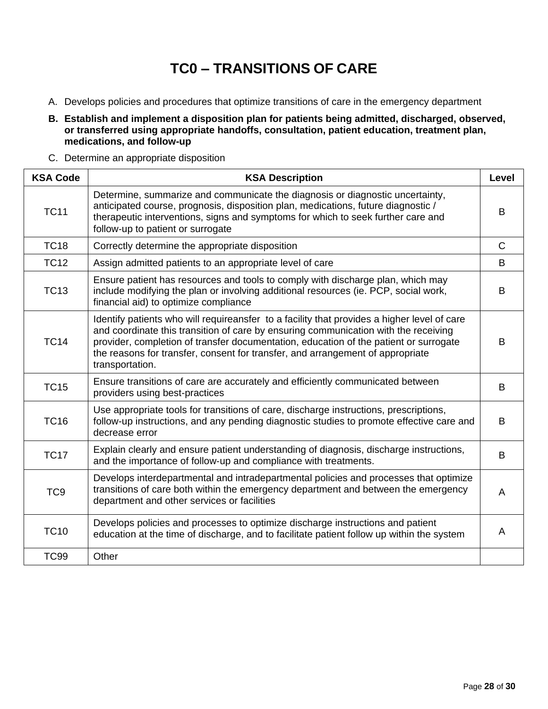# **TC0 – TRANSITIONS OF CARE**

- <span id="page-27-0"></span>A. Develops policies and procedures that optimize transitions of care in the emergency department
- **B. Establish and implement a disposition plan for patients being admitted, discharged, observed, or transferred using appropriate handoffs, consultation, patient education, treatment plan, medications, and follow-up**
- C. Determine an appropriate disposition

| <b>KSA Code</b> | <b>KSA Description</b>                                                                                                                                                                                                                                                                                                                                                           | Level        |
|-----------------|----------------------------------------------------------------------------------------------------------------------------------------------------------------------------------------------------------------------------------------------------------------------------------------------------------------------------------------------------------------------------------|--------------|
| <b>TC11</b>     | Determine, summarize and communicate the diagnosis or diagnostic uncertainty,<br>anticipated course, prognosis, disposition plan, medications, future diagnostic /<br>therapeutic interventions, signs and symptoms for which to seek further care and<br>follow-up to patient or surrogate                                                                                      | B            |
| <b>TC18</b>     | Correctly determine the appropriate disposition                                                                                                                                                                                                                                                                                                                                  | $\mathsf{C}$ |
| <b>TC12</b>     | Assign admitted patients to an appropriate level of care                                                                                                                                                                                                                                                                                                                         | B            |
| <b>TC13</b>     | Ensure patient has resources and tools to comply with discharge plan, which may<br>include modifying the plan or involving additional resources (ie. PCP, social work,<br>financial aid) to optimize compliance                                                                                                                                                                  | B            |
| <b>TC14</b>     | Identify patients who will requireansfer to a facility that provides a higher level of care<br>and coordinate this transition of care by ensuring communication with the receiving<br>provider, completion of transfer documentation, education of the patient or surrogate<br>the reasons for transfer, consent for transfer, and arrangement of appropriate<br>transportation. | B            |
| <b>TC15</b>     | Ensure transitions of care are accurately and efficiently communicated between<br>providers using best-practices                                                                                                                                                                                                                                                                 | B            |
| <b>TC16</b>     | Use appropriate tools for transitions of care, discharge instructions, prescriptions,<br>follow-up instructions, and any pending diagnostic studies to promote effective care and<br>decrease error                                                                                                                                                                              | B            |
| <b>TC17</b>     | Explain clearly and ensure patient understanding of diagnosis, discharge instructions,<br>and the importance of follow-up and compliance with treatments.                                                                                                                                                                                                                        | B            |
| TC <sub>9</sub> | Develops interdepartmental and intradepartmental policies and processes that optimize<br>transitions of care both within the emergency department and between the emergency<br>department and other services or facilities                                                                                                                                                       | A            |
| <b>TC10</b>     | Develops policies and processes to optimize discharge instructions and patient<br>education at the time of discharge, and to facilitate patient follow up within the system                                                                                                                                                                                                      | A            |
| <b>TC99</b>     | Other                                                                                                                                                                                                                                                                                                                                                                            |              |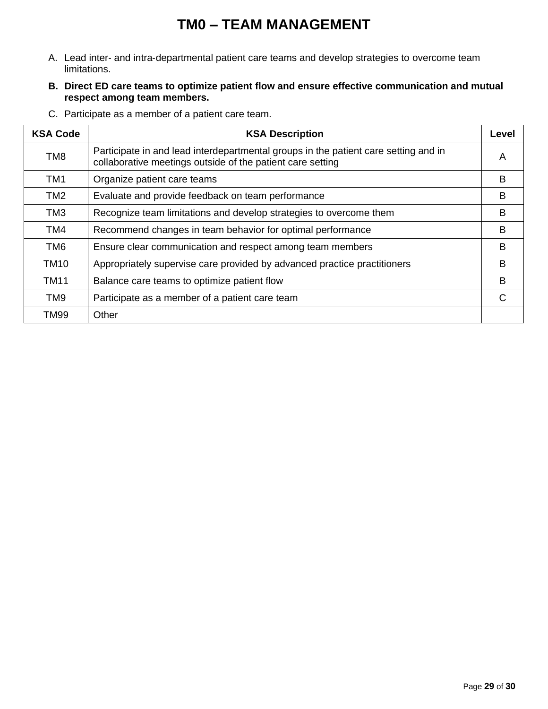## **TM0 – TEAM MANAGEMENT**

- <span id="page-28-0"></span>A. Lead inter‐ and intra‐departmental patient care teams and develop strategies to overcome team limitations.
- **B. Direct ED care teams to optimize patient flow and ensure effective communication and mutual respect among team members.**
- C. Participate as a member of a patient care team.

| <b>KSA Code</b> | <b>KSA Description</b>                                                                                                                            | Level |
|-----------------|---------------------------------------------------------------------------------------------------------------------------------------------------|-------|
| TM <sub>8</sub> | Participate in and lead interdepartmental groups in the patient care setting and in<br>collaborative meetings outside of the patient care setting | A     |
| TM <sub>1</sub> | Organize patient care teams                                                                                                                       | B     |
| TM <sub>2</sub> | Evaluate and provide feedback on team performance                                                                                                 | B     |
| TM3             | Recognize team limitations and develop strategies to overcome them                                                                                | B     |
| TM4             | Recommend changes in team behavior for optimal performance                                                                                        | B     |
| TM6             | Ensure clear communication and respect among team members                                                                                         | B     |
| <b>TM10</b>     | Appropriately supervise care provided by advanced practice practitioners                                                                          | B     |
| <b>TM11</b>     | Balance care teams to optimize patient flow                                                                                                       | B     |
| TM9             | Participate as a member of a patient care team                                                                                                    | C     |
| <b>TM99</b>     | Other                                                                                                                                             |       |